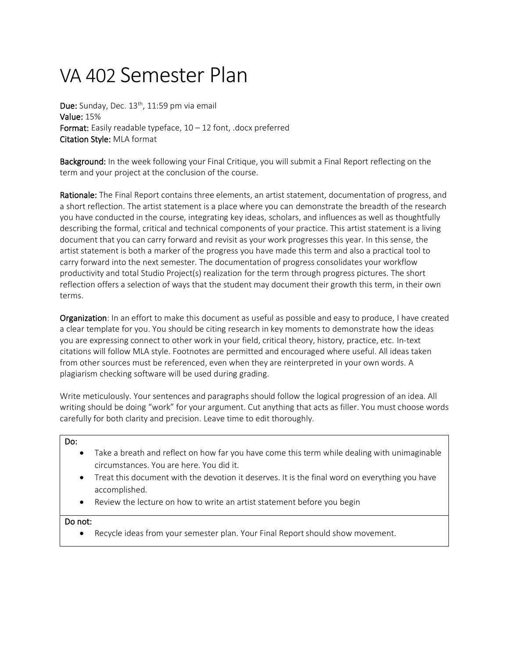## VA 402 Semester Plan

Due: Sunday, Dec. 13<sup>th</sup>, 11:59 pm via email Value: 15% Format: Easily readable typeface,  $10 - 12$  font, .docx preferred Citation Style: MLA format

Background: In the week following your Final Critique, you will submit a Final Report reflecting on the term and your project at the conclusion of the course.

Rationale: The Final Report contains three elements, an artist statement, documentation of progress, and a short reflection. The artist statement is a place where you can demonstrate the breadth of the research you have conducted in the course, integrating key ideas, scholars, and influences as well as thoughtfully describing the formal, critical and technical components of your practice. This artist statement is a living document that you can carry forward and revisit as your work progresses this year. In this sense, the artist statement is both a marker of the progress you have made this term and also a practical tool to carry forward into the next semester. The documentation of progress consolidates your workflow productivity and total Studio Project(s) realization for the term through progress pictures. The short reflection offers a selection of ways that the student may document their growth this term, in their own terms.

**Organization**: In an effort to make this document as useful as possible and easy to produce, I have created a clear template for you. You should be citing research in key moments to demonstrate how the ideas you are expressing connect to other work in your field, critical theory, history, practice, etc. In-text citations will follow MLA style. Footnotes are permitted and encouraged where useful. All ideas taken from other sources must be referenced, even when they are reinterpreted in your own words. A plagiarism checking software will be used during grading.

Write meticulously. Your sentences and paragraphs should follow the logical progression of an idea. All writing should be doing "work" for your argument. Cut anything that acts as filler. You must choose words carefully for both clarity and precision. Leave time to edit thoroughly.

#### Do:

- Take a breath and reflect on how far you have come this term while dealing with unimaginable circumstances. You are here. You did it.
- Treat this document with the devotion it deserves. It is the final word on everything you have accomplished.
- Review the lecture on how to write an artist statement before you begin

#### Do not:

• Recycle ideas from your semester plan. Your Final Report should show movement.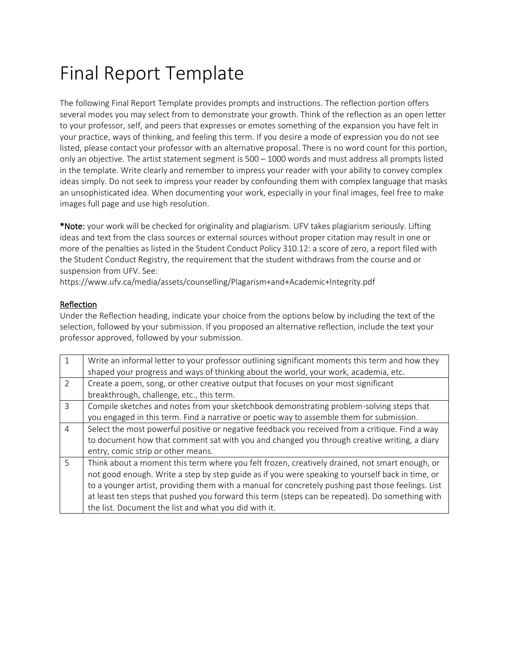# Final Report Template

The following Final Report Template provides prompts and instructions. The reflection portion offers several modes you may select from to demonstrate your growth. Think of the reflection as an open letter to your professor, self, and peers that expresses or emotes something of the expansion you have felt in your practice, ways of thinking, and feeling this term. If you desire a mode of expression you do not see listed, please contact your professor with an alternative proposal. There is no word count for this portion, only an objective. The artist statement segment is 500 – 1000 words and must address all prompts listed in the template. Write clearly and remember to impress your reader with your ability to convey complex ideas simply. Do not seek to impress your reader by confounding them with complex language that masks an unsophisticated idea. When documenting your work, especially in your final images, feel free to make images full page and use high resolution.

\*Note: your work will be checked for originality and plagiarism. UFV takes plagiarism seriously. Lifting ideas and text from the class sources or external sources without proper citation may result in one or more of the penalties as listed in the Student Conduct Policy 310.12: a score of zero, a report filed with the Student Conduct Registry, the requirement that the student withdraws from the course and or suspension from UFV. See:

https://www.ufv.ca/media/assets/counselling/Plagarism+and+Academic+Integrity.pdf

#### Reflection

Under the Reflection heading, indicate your choice from the options below by including the text of the selection, followed by your submission. If you proposed an alternative reflection, include the text your professor approved, followed by your submission.

|                | Write an informal letter to your professor outlining significant moments this term and how they    |
|----------------|----------------------------------------------------------------------------------------------------|
|                | shaped your progress and ways of thinking about the world, your work, academia, etc.               |
| $\mathcal{P}$  | Create a poem, song, or other creative output that focuses on your most significant                |
|                | breakthrough, challenge, etc., this term.                                                          |
| $\mathcal{L}$  | Compile sketches and notes from your sketchbook demonstrating problem-solving steps that           |
|                | you engaged in this term. Find a narrative or poetic way to assemble them for submission.          |
| $\overline{4}$ | Select the most powerful positive or negative feedback you received from a critique. Find a way    |
|                | to document how that comment sat with you and changed you through creative writing, a diary        |
|                | entry, comic strip or other means.                                                                 |
| 5              | Think about a moment this term where you felt frozen, creatively drained, not smart enough, or     |
|                | not good enough. Write a step by step guide as if you were speaking to yourself back in time, or   |
|                | to a younger artist, providing them with a manual for concretely pushing past those feelings. List |
|                | at least ten steps that pushed you forward this term (steps can be repeated). Do something with    |
|                | the list. Document the list and what you did with it.                                              |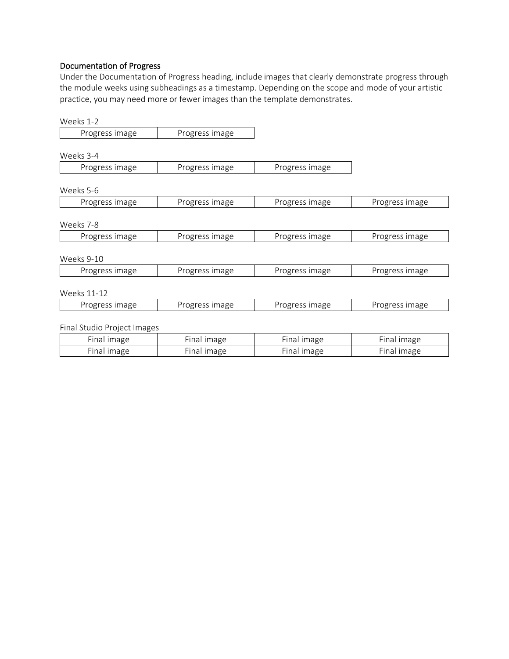### Documentation of Progress

Under the Documentation of Progress heading, include images that clearly demonstrate progress through the module weeks using subheadings as a timestamp. Depending on the scope and mode of your artistic practice, you may need more or fewer images than the template demonstrates.

| Weeks 1-2                   |                |                |                |
|-----------------------------|----------------|----------------|----------------|
| Progress image              | Progress image |                |                |
|                             |                |                |                |
| Weeks 3-4                   |                |                |                |
| Progress image              | Progress image | Progress image |                |
| Weeks 5-6                   |                |                |                |
| Progress image              | Progress image | Progress image | Progress image |
|                             |                |                |                |
| Weeks 7-8                   |                |                |                |
| Progress image              | Progress image | Progress image | Progress image |
|                             |                |                |                |
| Weeks 9-10                  |                |                |                |
| Progress image              | Progress image | Progress image | Progress image |
|                             |                |                |                |
| <b>Weeks 11-12</b>          |                |                |                |
| Progress image              | Progress image | Progress image | Progress image |
|                             |                |                |                |
| Final Studio Project Images |                |                |                |
| Final image                 | Final image    | Final image    | Final image    |
| Final image                 | Final image    | Final image    | Final image    |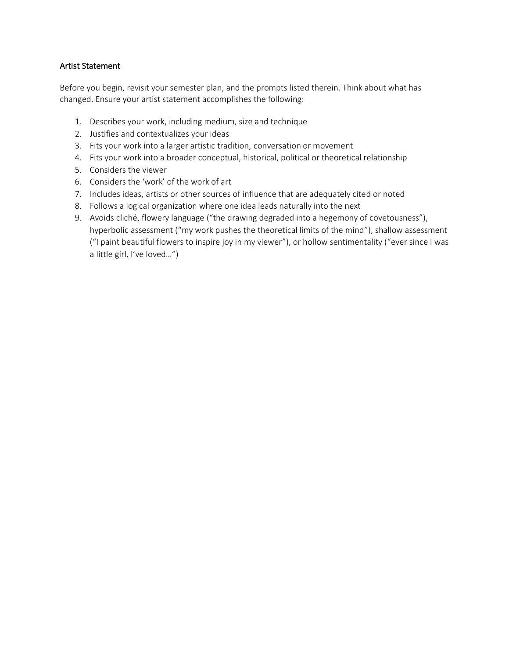#### Artist Statement

Before you begin, revisit your semester plan, and the prompts listed therein. Think about what has changed. Ensure your artist statement accomplishes the following:

- 1. Describes your work, including medium, size and technique
- 2. Justifies and contextualizes your ideas
- 3. Fits your work into a larger artistic tradition, conversation or movement
- 4. Fits your work into a broader conceptual, historical, political or theoretical relationship
- 5. Considers the viewer
- 6. Considers the 'work' of the work of art
- 7. Includes ideas, artists or other sources of influence that are adequately cited or noted
- 8. Follows a logical organization where one idea leads naturally into the next
- 9. Avoids cliché, flowery language ("the drawing degraded into a hegemony of covetousness"), hyperbolic assessment ("my work pushes the theoretical limits of the mind"), shallow assessment ("I paint beautiful flowers to inspire joy in my viewer"), or hollow sentimentality ("ever since I was a little girl, I've loved…")